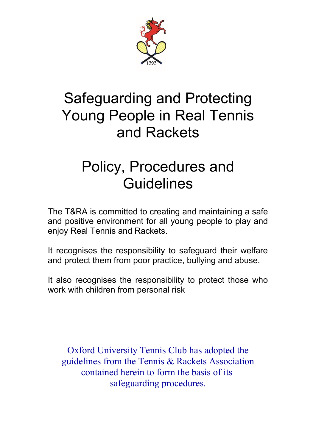

# Safeguarding and Protecting Young People in Real Tennis and Rackets

# Policy, Procedures and **Guidelines**

The T&RA is committed to creating and maintaining a safe and positive environment for all young people to play and enjoy Real Tennis and Rackets.

It recognises the responsibility to safeguard their welfare and protect them from poor practice, bullying and abuse.

It also recognises the responsibility to protect those who work with children from personal risk

Oxford University Tennis Club has adopted the guidelines from the Tennis & Rackets Association contained herein to form the basis of its safeguarding procedures.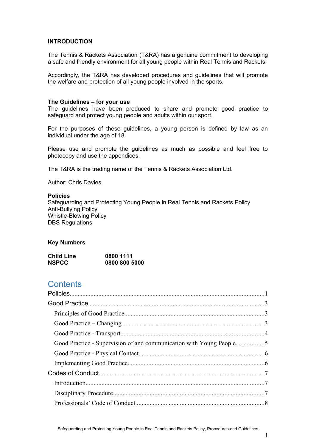#### **INTRODUCTION**

The Tennis & Rackets Association (T&RA) has a genuine commitment to developing a safe and friendly environment for all young people within Real Tennis and Rackets.

Accordingly, the T&RA has developed procedures and guidelines that will promote the welfare and protection of all young people involved in the sports.

#### **The Guidelines – for your use**

The guidelines have been produced to share and promote good practice to safeguard and protect young people and adults within our sport.

For the purposes of these guidelines, a young person is defined by law as an individual under the age of 18.

Please use and promote the guidelines as much as possible and feel free to photocopy and use the appendices.

The T&RA is the trading name of the Tennis & Rackets Association Ltd.

Author: Chris Davies

#### <span id="page-1-0"></span>**Policies**

Safeguarding and Protecting Young People in Real Tennis and Rackets Policy Anti-Bullying Policy Whistle-Blowing Policy DBS Regulations

#### **Key Numbers**

| <b>Child Line</b> | 0800 1111     |
|-------------------|---------------|
| <b>NSPCC</b>      | 0800 800 5000 |

# **Contents**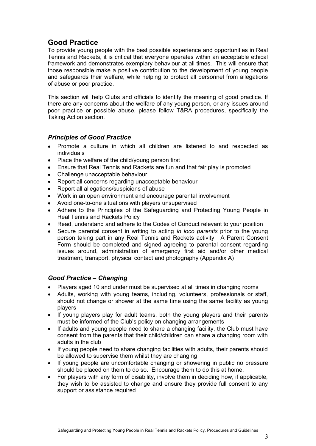# <span id="page-3-0"></span>**Good Practice**

To provide young people with the best possible experience and opportunities in Real Tennis and Rackets, it is critical that everyone operates within an acceptable ethical framework and demonstrates exemplary behaviour at all times. This will ensure that those responsible make a positive contribution to the development of young people and safeguards their welfare, while helping to protect all personnel from allegations of abuse or poor practice.

This section will help Clubs and officials to identify the meaning of good practice. If there are any concerns about the welfare of any young person, or any issues around poor practice or possible abuse, please follow T&RA procedures, specifically the Taking Action section.

# <span id="page-3-1"></span>*Principles of Good Practice*

- Promote a culture in which all children are listened to and respected as individuals
- Place the welfare of the child/young person first
- Ensure that Real Tennis and Rackets are fun and that fair play is promoted
- Challenge unacceptable behaviour
- Report all concerns regarding unacceptable behaviour
- Report all allegations/suspicions of abuse
- Work in an open environment and encourage parental involvement
- Avoid one-to-one situations with players unsupervised
- Adhere to the Principles of the Safeguarding and Protecting Young People in Real Tennis and Rackets Policy
- Read, understand and adhere to the Codes of Conduct relevant to your position
- Secure parental consent in writing to acting *in loco parentis* prior to the young person taking part in any Real Tennis and Rackets activity. A Parent Consent Form should be completed and signed agreeing to parental consent regarding issues around, administration of emergency first aid and/or other medical treatment, transport, physical contact and photography (Appendix A)

# <span id="page-3-2"></span>*Good Practice – Changing*

- Players aged 10 and under must be supervised at all times in changing rooms
- Adults, working with young teams, including, volunteers, professionals or staff, should not change or shower at the same time using the same facility as young players
- If young players play for adult teams, both the young players and their parents must be informed of the Club's policy on changing arrangements
- If adults and young people need to share a changing facility, the Club must have consent from the parents that their child/children can share a changing room with adults in the club
- If young people need to share changing facilities with adults, their parents should be allowed to supervise them whilst they are changing
- If young people are uncomfortable changing or showering in public no pressure should be placed on them to do so. Encourage them to do this at home.
- For players with any form of disability, involve them in deciding how, if applicable, they wish to be assisted to change and ensure they provide full consent to any support or assistance required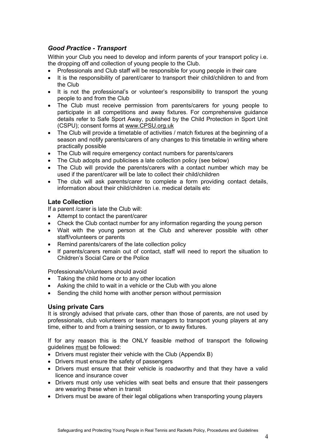# <span id="page-4-0"></span>*Good Practice - Transport*

Within your Club you need to develop and inform parents of your transport policy i.e. the dropping off and collection of young people to the Club.

- Professionals and Club staff will be responsible for young people in their care
- It is the responsibility of parent/carer to transport their child/children to and from the Club
- It is not the professional's or volunteer's responsibility to transport the young people to and from the Club
- The Club must receive permission from parents/carers for young people to participate in all competitions and away fixtures. For comprehensive guidance details refer to Safe Sport Away, published by the Child Protection in Sport Unit (CSPU); consent forms at [www.CPSU.org.uk](http://www.CPSU.org.uk/)
- The Club will provide a timetable of activities / match fixtures at the beginning of a season and notify parents/carers of any changes to this timetable in writing where practically possible
- The Club will require emergency contact numbers for parents/carers
- The Club adopts and publicises a late collection policy (see below)
- The Club will provide the parents/carers with a contact number which may be used if the parent/carer will be late to collect their child/children
- The club will ask parents/carer to complete a form providing contact details, information about their child/children i.e. medical details etc

# **Late Collection**

If a parent /carer is late the Club will:

- Attempt to contact the parent/carer
- Check the Club contact number for any information regarding the young person
- Wait with the young person at the Club and wherever possible with other staff/volunteers or parents
- Remind parents/carers of the late collection policy
- If parents/carers remain out of contact, staff will need to report the situation to Children's Social Care or the Police

Professionals/Volunteers should avoid

- Taking the child home or to any other location
- Asking the child to wait in a vehicle or the Club with you alone
- Sending the child home with another person without permission

#### **Using private Cars**

It is strongly advised that private cars, other than those of parents, are not used by professionals, club volunteers or team managers to transport young players at any time, either to and from a training session, or to away fixtures.

If for any reason this is the ONLY feasible method of transport the following guidelines must be followed:

- Drivers must register their vehicle with the Club (Appendix B)
- Drivers must ensure the safety of passengers
- Drivers must ensure that their vehicle is roadworthy and that they have a valid licence and insurance cover
- Drivers must only use vehicles with seat belts and ensure that their passengers are wearing these when in transit
- Drivers must be aware of their legal obligations when transporting young players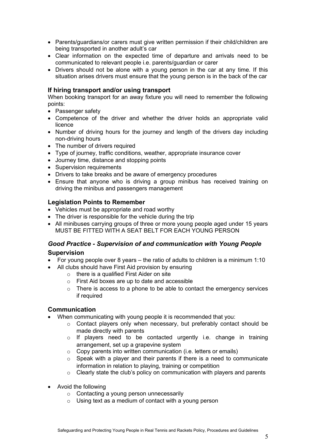- Parents/guardians/or carers must give written permission if their child/children are being transported in another adult's car
- Clear information on the expected time of departure and arrivals need to be communicated to relevant people i.e. parents/guardian or carer
- Drivers should not be alone with a young person in the car at any time. If this situation arises drivers must ensure that the young person is in the back of the car

#### **If hiring transport and/or using transport**

When booking transport for an away fixture you will need to remember the following points:

- Passenger safety
- Competence of the driver and whether the driver holds an appropriate valid licence
- Number of driving hours for the journey and length of the drivers day including non-driving hours
- The number of drivers required
- Type of journey, traffic conditions, weather, appropriate insurance cover
- Journey time, distance and stopping points
- Supervision requirements
- Drivers to take breaks and be aware of emergency procedures
- Ensure that anyone who is driving a group minibus has received training on driving the minibus and passengers management

#### **Legislation Points to Remember**

- Vehicles must be appropriate and road worthy
- The driver is responsible for the vehicle during the trip
- All minibuses carrying groups of three or more young people aged under 15 years MUST BE FITTED WITH A SEAT BELT FOR EACH YOUNG PERSON

# <span id="page-5-0"></span>*Good Practice - Supervision of and communication with Young People*  **Supervision**

- For young people over 8 years the ratio of adults to children is a minimum 1:10
- All clubs should have First Aid provision by ensuring
	- o there is a qualified First Aider on site
	- o First Aid boxes are up to date and accessible
	- $\circ$  There is access to a phone to be able to contact the emergency services if required

#### **Communication**

- When communicating with young people it is recommended that you:
	- $\circ$  Contact players only when necessary, but preferably contact should be made directly with parents
	- $\circ$  If players need to be contacted urgently i.e. change in training arrangement, set up a grapevine system
	- $\circ$  Copy parents into written communication (i.e. letters or emails)
	- o Speak with a player and their parents if there is a need to communicate information in relation to playing, training or competition
	- o Clearly state the club's policy on communication with players and parents
- Avoid the following
	- o Contacting a young person unnecessarily
	- $\circ$  Using text as a medium of contact with a young person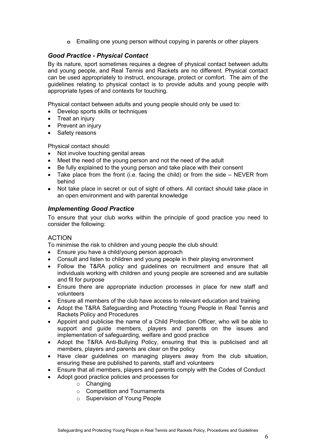**o** Emailing one young person without copying in parents or other players

## <span id="page-6-0"></span>*Good Practice - Physical Contact*

By its nature, sport sometimes requires a degree of physical contact between adults and young people, and Real Tennis and Rackets are no different. Physical contact can be used appropriately to instruct, encourage, protect or comfort. The aim of the guidelines relating to physical contact is to provide adults and young people with appropriate types of and contexts for touching.

Physical contact between adults and young people should only be used to:

- Develop sports skills or techniques
- Treat an injury
- Prevent an injury
- Safety reasons

Physical contact should:

- Not involve touching genital areas
- Meet the need of the young person and not the need of the adult
- Be fully explained to the young person and take place with their consent
- Take place from the front (i.e. facing the child) or from the side NEVER from behind
- Not take place in secret or out of sight of others. All contact should take place in an open environment and with parental knowledge

#### <span id="page-6-1"></span>*Implementing Good Practice*

To ensure that your club works within the principle of good practice you need to consider the following:

#### ACTION

To minimise the risk to children and young people the club should:

- Ensure you have a child/young person approach
- Consult and listen to children and young people in their playing environment
- Follow the T&RA policy and guidelines on recruitment and ensure that all individuals working with children and young people are screened and are suitable and fit for purpose
- Ensure there are appropriate induction processes in place for new staff and volunteers
- Ensure all members of the club have access to relevant education and training
- Adopt the T&RA Safeguarding and Protecting Young People in Real Tennis and Rackets Policy and Procedures
- Appoint and publicise the name of a Child Protection Officer, who will be able to support and guide members, players and parents on the issues and implementation of safeguarding, welfare and good practice
- Adopt the T&RA Anti-Bullying Policy, ensuring that this is publicised and all members, players and parents are clear on the policy
- Have clear guidelines on managing players away from the club situation, ensuring these are published to parents, staff and volunteers
- Ensure that all members, players and parents comply with the Codes of Conduct
- Adopt good practice policies and processes for
	- o Changing
	- o Competition and Tournaments
	- o Supervision of Young People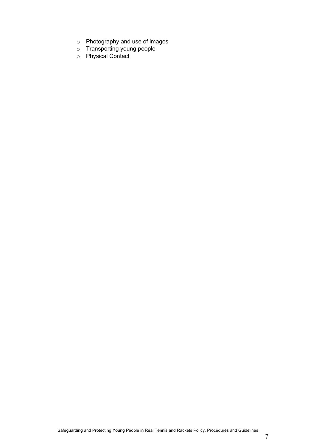- o Photography and use of images
- o Transporting young people
- o Physical Contact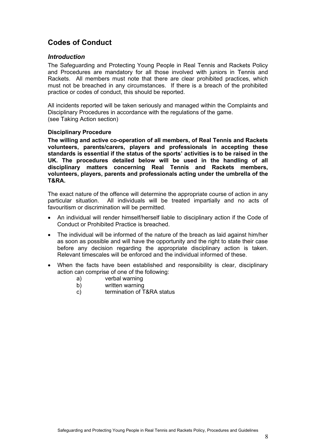# <span id="page-8-0"></span>**Codes of Conduct**

#### <span id="page-8-1"></span>*Introduction*

The Safeguarding and Protecting Young People in Real Tennis and Rackets Policy and Procedures are mandatory for all those involved with juniors in Tennis and Rackets. All members must note that there are clear prohibited practices, which must not be breached in any circumstances. If there is a breach of the prohibited practice or codes of conduct, this should be reported.

All incidents reported will be taken seriously and managed within the Complaints and Disciplinary Procedures in accordance with the regulations of the game. (see Taking Action section)

#### <span id="page-8-2"></span>**Disciplinary Procedure**

**The willing and active co-operation of all members, of Real Tennis and Rackets volunteers, parents/carers, players and professionals in accepting these standards is essential if the status of the sports' activities is to be raised in the UK. The procedures detailed below will be used in the handling of all disciplinary matters concerning Real Tennis and Rackets members, volunteers, players, parents and professionals acting under the umbrella of the T&RA.**

The exact nature of the offence will determine the appropriate course of action in any particular situation. All individuals will be treated impartially and no acts of favouritism or discrimination will be permitted.

- An individual will render himself/herself liable to disciplinary action if the Code of Conduct or Prohibited Practice is breached.
- The individual will be informed of the nature of the breach as laid against him/her as soon as possible and will have the opportunity and the right to state their case before any decision regarding the appropriate disciplinary action is taken. Relevant timescales will be enforced and the individual informed of these.
- When the facts have been established and responsibility is clear, disciplinary action can comprise of one of the following:
	- a) verbal warning
	- b) written warning
	- c) termination of T&RA status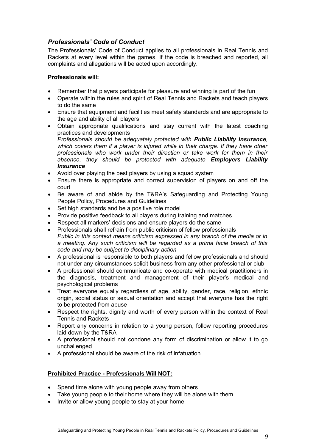# <span id="page-9-0"></span>*Professionals' Code of Conduct*

The Professionals' Code of Conduct applies to all professionals in Real Tennis and Rackets at every level within the games. If the code is breached and reported, all complaints and allegations will be acted upon accordingly.

#### **Professionals will:**

- Remember that players participate for pleasure and winning is part of the fun
- Operate within the rules and spirit of Real Tennis and Rackets and teach players to do the same
- Ensure that equipment and facilities meet safety standards and are appropriate to the age and ability of all players
- Obtain appropriate qualifications and stay current with the latest coaching practices and developments *Professionals should be adequately protected with Public Liability Insurance, which covers them if a player is injured while in their charge. If they have other professionals who work under their direction or take work for them in their absence, they should be protected with adequate Employers Liability Insurance*
- Avoid over playing the best players by using a squad system
- Ensure there is appropriate and correct supervision of players on and off the court
- Be aware of and abide by the T&RA's Safeguarding and Protecting Young People Policy, Procedures and Guidelines
- Set high standards and be a positive role model
- Provide positive feedback to all players during training and matches
- Respect all markers' decisions and ensure players do the same
- Professionals shall refrain from public criticism of fellow professionals *Public in this context means criticism expressed in any branch of the media or in a meeting. Any such criticism will be regarded as a prima facie breach of this code and may be subject to disciplinary action*
- A professional is responsible to both players and fellow professionals and should not under any circumstances solicit business from any other professional or club
- A professional should communicate and co-operate with medical practitioners in the diagnosis, treatment and management of their player's medical and psychological problems
- Treat everyone equally regardless of age, ability, gender, race, religion, ethnic origin, social status or sexual orientation and accept that everyone has the right to be protected from abuse
- Respect the rights, dignity and worth of every person within the context of Real Tennis and Rackets
- Report any concerns in relation to a young person, follow reporting procedures laid down by the T&RA
- A professional should not condone any form of discrimination or allow it to go unchallenged
- A professional should be aware of the risk of infatuation

# **Prohibited Practice - Professionals Will NOT:**

- Spend time alone with young people away from others
- Take young people to their home where they will be alone with them
- Invite or allow young people to stay at your home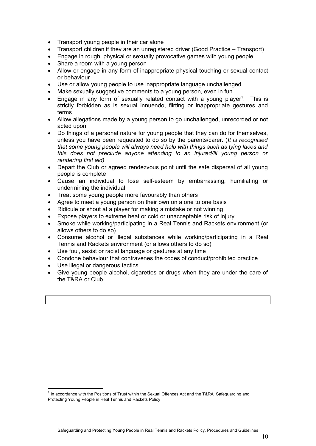- Transport young people in their car alone
- Transport children if they are an unregistered driver (Good Practice Transport)
- Engage in rough, physical or sexually provocative games with young people.
- Share a room with a young person
- Allow or engage in any form of inappropriate physical touching or sexual contact or behaviour
- Use or allow young people to use inappropriate language unchallenged
- Make sexually suggestive comments to a young person, even in fun
- $\bullet$  Engage in any form of sexually related contact with a young player<sup>[1](#page-10-0)</sup>. This is strictly forbidden as is sexual innuendo, flirting or inappropriate gestures and terms
- Allow allegations made by a young person to go unchallenged, unrecorded or not acted upon
- Do things of a personal nature for young people that they can do for themselves, unless you have been requested to do so by the parents/carer. (*It is recognised that some young people will always need help with things such as tying laces and this does not preclude anyone attending to an injured/ill young person or rendering first aid)*
- Depart the Club or agreed rendezvous point until the safe dispersal of all young people is complete
- Cause an individual to lose self-esteem by embarrassing, humiliating or undermining the individual
- Treat some young people more favourably than others
- Agree to meet a young person on their own on a one to one basis
- Ridicule or shout at a player for making a mistake or not winning
- Expose players to extreme heat or cold or unacceptable risk of injury
- Smoke while working/participating in a Real Tennis and Rackets environment (or allows others to do so)
- Consume alcohol or illegal substances while working/participating in a Real Tennis and Rackets environment (or allows others to do so)
- Use foul, sexist or racist language or gestures at any time
- Condone behaviour that contravenes the codes of conduct/prohibited practice
- Use illegal or dangerous tactics
- Give young people alcohol, cigarettes or drugs when they are under the care of the T&RA or Club

<span id="page-10-0"></span> $1$  In accordance with the Positions of Trust within the Sexual Offences Act and the T&RA Safeguarding and Protecting Young People in Real Tennis and Rackets Policy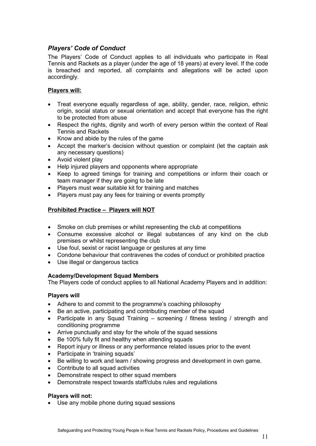# <span id="page-11-0"></span>*Players' Code of Conduct*

The Players' Code of Conduct applies to all individuals who participate in Real Tennis and Rackets as a player (under the age of 18 years) at every level. If the code is breached and reported, all complaints and allegations will be acted upon accordingly.

#### **Players will:**

- Treat everyone equally regardless of age, ability, gender, race, religion, ethnic origin, social status or sexual orientation and accept that everyone has the right to be protected from abuse
- Respect the rights, dignity and worth of every person within the context of Real Tennis and Rackets
- Know and abide by the rules of the game
- Accept the marker's decision without question or complaint (let the captain ask any necessary questions)
- Avoid violent play
- Help injured players and opponents where appropriate
- Keep to agreed timings for training and competitions or inform their coach or team manager if they are going to be late
- Players must wear suitable kit for training and matches
- Players must pay any fees for training or events promptly

#### **Prohibited Practice – Players will NOT**

- Smoke on club premises or whilst representing the club at competitions
- Consume excessive alcohol or illegal substances of any kind on the club premises or whilst representing the club
- Use foul, sexist or racist language or gestures at any time
- Condone behaviour that contravenes the codes of conduct or prohibited practice
- Use illegal or dangerous tactics

#### **Academy/Development Squad Members**

The Players code of conduct applies to all National Academy Players and in addition:

#### **Players will**

- Adhere to and commit to the programme's coaching philosophy
- Be an active, participating and contributing member of the squad
- Participate in any Squad Training screening / fitness testing / strength and conditioning programme
- Arrive punctually and stay for the whole of the squad sessions
- Be 100% fully fit and healthy when attending squads
- Report injury or illness or any performance related issues prior to the event
- Participate in 'training squads'
- Be willing to work and learn / showing progress and development in own game.
- Contribute to all squad activities
- Demonstrate respect to other squad members
- Demonstrate respect towards staff/clubs rules and regulations

#### **Players will not:**

Use any mobile phone during squad sessions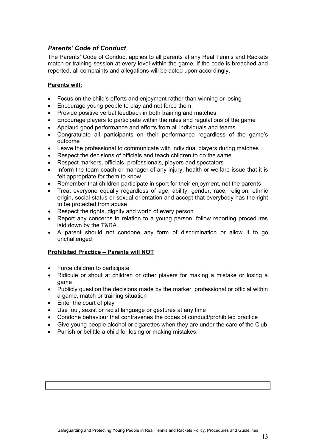# <span id="page-13-0"></span>*Parents' Code of Conduct*

The Parents' Code of Conduct applies to all parents at any Real Tennis and Rackets match or training session at every level within the game. If the code is breached and reported, all complaints and allegations will be acted upon accordingly.

#### **Parents will:**

- Focus on the child's efforts and enjoyment rather than winning or losing
- Encourage young people to play and not force them
- Provide positive verbal feedback in both training and matches
- Encourage players to participate within the rules and regulations of the game
- Applaud good performance and efforts from all individuals and teams
- Congratulate all participants on their performance regardless of the game's outcome
- Leave the professional to communicate with individual players during matches
- Respect the decisions of officials and teach children to do the same
- Respect markers, officials, professionals, players and spectators
- Inform the team coach or manager of any injury, health or welfare issue that it is felt appropriate for them to know
- Remember that children participate in sport for their enjoyment, not the parents
- Treat everyone equally regardless of age, ability, gender, race, religion, ethnic origin, social status or sexual orientation and accept that everybody has the right to be protected from abuse
- Respect the rights, dignity and worth of every person
- Report any concerns in relation to a young person, follow reporting procedures laid down by the T&RA
- A parent should not condone any form of discrimination or allow it to go unchallenged

#### **Prohibited Practice – Parents will NOT**

- Force children to participate
- Ridicule or shout at children or other players for making a mistake or losing a game
- Publicly question the decisions made by the marker, professional or official within a game, match or training situation
- Enter the court of play
- Use foul, sexist or racist language or gestures at any time
- Condone behaviour that contravenes the codes of conduct/prohibited practice
- Give young people alcohol or cigarettes when they are under the care of the Club
- Punish or belittle a child for losing or making mistakes.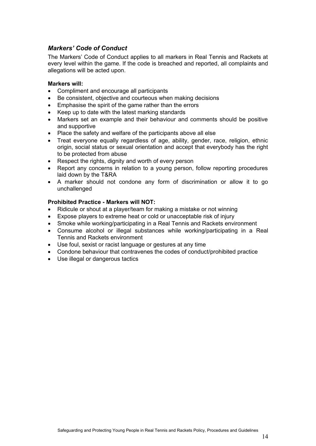# <span id="page-14-0"></span>*Markers' Code of Conduct*

The Markers' Code of Conduct applies to all markers in Real Tennis and Rackets at every level within the game. If the code is breached and reported, all complaints and allegations will be acted upon.

#### **Markers will:**

- Compliment and encourage all participants
- Be consistent, objective and courteous when making decisions
- Emphasise the spirit of the game rather than the errors
- Keep up to date with the latest marking standards
- Markers set an example and their behaviour and comments should be positive and supportive
- Place the safety and welfare of the participants above all else
- Treat everyone equally regardless of age, ability, gender, race, religion, ethnic origin, social status or sexual orientation and accept that everybody has the right to be protected from abuse
- Respect the rights, dignity and worth of every person
- Report any concerns in relation to a young person, follow reporting procedures laid down by the T&RA
- A marker should not condone any form of discrimination or allow it to go unchallenged

#### **Prohibited Practice - Markers will NOT:**

- Ridicule or shout at a player/team for making a mistake or not winning
- Expose players to extreme heat or cold or unacceptable risk of injury
- Smoke while working/participating in a Real Tennis and Rackets environment
- Consume alcohol or illegal substances while working/participating in a Real Tennis and Rackets environment
- Use foul, sexist or racist language or gestures at any time
- Condone behaviour that contravenes the codes of conduct/prohibited practice
- Use illegal or dangerous tactics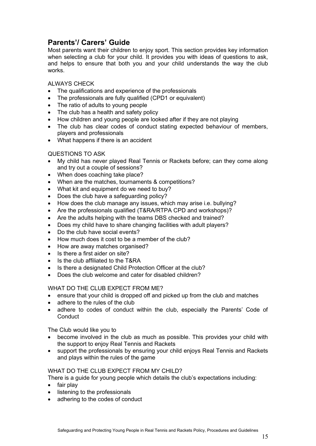# <span id="page-15-0"></span>**Parents'/ Carers' Guide**

Most parents want their children to enjoy sport. This section provides key information when selecting a club for your child. It provides you with ideas of questions to ask, and helps to ensure that both you and your child understands the way the club works.

#### ALWAYS CHECK

- The qualifications and experience of the professionals
- The professionals are fully qualified (CPD1 or equivalent)
- The ratio of adults to young people
- The club has a health and safety policy
- How children and young people are looked after if they are not playing
- The club has clear codes of conduct stating expected behaviour of members, players and professionals
- What happens if there is an accident

#### QUESTIONS TO ASK

- My child has never played Real Tennis or Rackets before; can they come along and try out a couple of sessions?
- When does coaching take place?
- When are the matches, tournaments & competitions?
- What kit and equipment do we need to buy?
- Does the club have a safeguarding policy?
- How does the club manage any issues, which may arise i.e. bullying?
- Are the professionals qualified (T&RA/RTPA CPD and workshops)?
- Are the adults helping with the teams DBS checked and trained?
- Does my child have to share changing facilities with adult players?
- Do the club have social events?
- How much does it cost to be a member of the club?
- How are away matches organised?
- Is there a first aider on site?
- Is the club affiliated to the T&RA
- Is there a designated Child Protection Officer at the club?
- Does the club welcome and cater for disabled children?

WHAT DO THE CLUB EXPECT FROM ME?

- ensure that your child is dropped off and picked up from the club and matches
- adhere to the rules of the club
- adhere to codes of conduct within the club, especially the Parents' Code of **Conduct**

The Club would like you to

- become involved in the club as much as possible. This provides your child with the support to enjoy Real Tennis and Rackets
- support the professionals by ensuring your child enjoys Real Tennis and Rackets and plays within the rules of the game

#### WHAT DO THE CLUB EXPECT FROM MY CHILD?

There is a guide for young people which details the club's expectations including:

- $\bullet$  fair play
- listening to the professionals
- adhering to the codes of conduct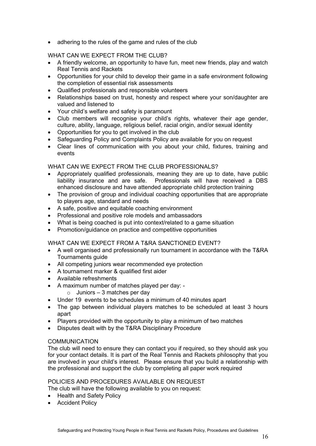• adhering to the rules of the game and rules of the club

WHAT CAN WE EXPECT FROM THE CLUB?

- A friendly welcome, an opportunity to have fun, meet new friends, play and watch Real Tennis and Rackets
- Opportunities for your child to develop their game in a safe environment following the completion of essential risk assessments
- Qualified professionals and responsible volunteers
- Relationships based on trust, honesty and respect where your son/daughter are valued and listened to
- Your child's welfare and safety is paramount
- Club members will recognise your child's rights, whatever their age gender, culture, ability, language, religious belief, racial origin, and/or sexual identity
- Opportunities for you to get involved in the club
- Safeguarding Policy and Complaints Policy are available for you on request
- Clear lines of communication with you about your child, fixtures, training and events

#### WHAT CAN WE EXPECT FROM THE CLUB PROFESSIONALS?

- Appropriately qualified professionals, meaning they are up to date, have public liability insurance and are safe. Professionals will have received a DBS enhanced disclosure and have attended appropriate child protection training
- The provision of group and individual coaching opportunities that are appropriate to players age, standard and needs
- A safe, positive and equitable coaching environment
- Professional and positive role models and ambassadors
- What is being coached is put into context/related to a game situation
- Promotion/quidance on practice and competitive opportunities

#### WHAT CAN WE EXPECT FROM A T&RA SANCTIONED EVENT?

- A well organised and professionally run tournament in accordance with the T&RA Tournaments guide
- All competing juniors wear recommended eye protection
- A tournament marker & qualified first aider
- Available refreshments
- A maximum number of matches played per day:
	- $\circ$  Juniors 3 matches per day
- Under 19 events to be schedules a minimum of 40 minutes apart
- The gap between individual players matches to be scheduled at least 3 hours apart
- Players provided with the opportunity to play a minimum of two matches
- Disputes dealt with by the T&RA Disciplinary Procedure

#### COMMUNICATION

The club will need to ensure they can contact you if required, so they should ask you for your contact details. It is part of the Real Tennis and Rackets philosophy that you are involved in your child's interest. Please ensure that you build a relationship with the professional and support the club by completing all paper work required

# POLICIES AND PROCEDURES AVAILABLE ON REQUEST

The club will have the following available to you on request:

- Health and Safety Policy
- Accident Policy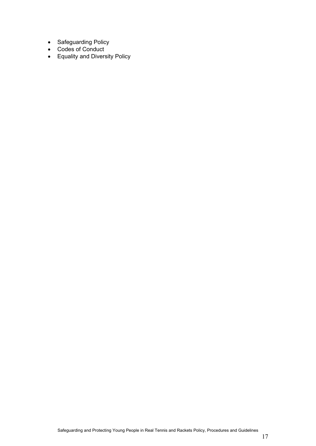- Safeguarding Policy
- Codes of Conduct
- Equality and Diversity Policy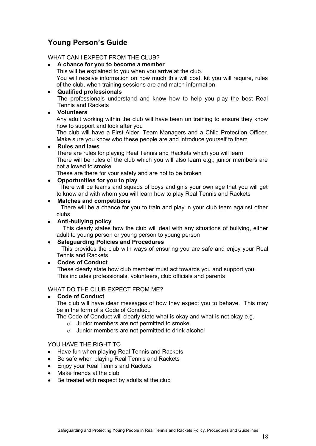# <span id="page-18-0"></span>**Young Person's Guide**

#### WHAT CAN I EXPECT FROM THE CLUB?

#### **A chance for you to become a member**

This will be explained to you when you arrive at the club. You will receive information on how much this will cost, kit you will require, rules of the club, when training sessions are and match information

#### **Qualified professionals**

The professionals understand and know how to help you play the best Real Tennis and Rackets

# **Volunteers**

Any adult working within the club will have been on training to ensure they know how to support and look after you

The club will have a First Aider, Team Managers and a Child Protection Officer. Make sure you know who these people are and introduce yourself to them

#### **Rules and laws**

There are rules for playing Real Tennis and Rackets which you will learn There will be rules of the club which you will also learn e.g.; junior members are not allowed to smoke

These are there for your safety and are not to be broken

# **Opportunities for you to play**

 There will be teams and squads of boys and girls your own age that you will get to know and with whom you will learn how to play Real Tennis and Rackets

#### **Matches and competitions**

There will be a chance for you to train and play in your club team against other clubs

#### **Anti-bullying policy**

This clearly states how the club will deal with any situations of bullying, either adult to young person or young person to young person

# **Safeguarding Policies and Procedures**

This provides the club with ways of ensuring you are safe and enjoy your Real Tennis and Rackets

#### **Codes of Conduct**

These clearly state how club member must act towards you and support you. This includes professionals, volunteers, club officials and parents

#### WHAT DO THE CLUB EXPECT FROM ME?

**Code of Conduct**

The club will have clear messages of how they expect you to behave. This may be in the form of a Code of Conduct.

The Code of Conduct will clearly state what is okay and what is not okay e.g.

- o Junior members are not permitted to smoke
- o Junior members are not permitted to drink alcohol

# YOU HAVE THE RIGHT TO

- Have fun when playing Real Tennis and Rackets
- Be safe when playing Real Tennis and Rackets
- Enjoy your Real Tennis and Rackets
- Make friends at the club
- Be treated with respect by adults at the club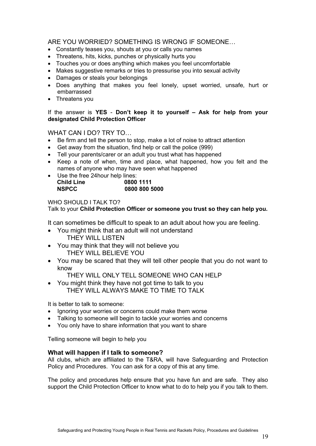# ARE YOU WORRIED? SOMETHING IS WRONG IF SOMEONE…

- Constantly teases you, shouts at you or calls you names
- Threatens, hits, kicks, punches or physically hurts you
- Touches you or does anything which makes you feel uncomfortable
- Makes suggestive remarks or tries to pressurise you into sexual activity
- Damages or steals your belongings
- Does anything that makes you feel lonely, upset worried, unsafe, hurt or embarrassed
- Threatens you

#### If the answer is **YES** - **Don't keep it to yourself – Ask for help from your designated Child Protection Officer**

#### WHAT CAN I DO? TRY TO…

- Be firm and tell the person to stop, make a lot of noise to attract attention
- Get away from the situation, find help or call the police (999)
- Tell your parents/carer or an adult you trust what has happened
- Keep a note of when, time and place, what happened, how you felt and the names of anyone who may have seen what happened
- Use the free 24 hour help lines: **Child Line 0800 1111 NSPCC 0800 800 5000**

#### WHO SHOULD I TALK TO?

#### Talk to your **Child Protection Officer or someone you trust so they can help you.**

It can sometimes be difficult to speak to an adult about how you are feeling.

- You might think that an adult will not understand THEY WILL LISTEN
- You may think that they will not believe you THEY WILL BELIEVE YOU
- You may be scared that they will tell other people that you do not want to know

THEY WILL ONLY TELL SOMEONE WHO CAN HELP

 You might think they have not got time to talk to you THEY WILL ALWAYS MAKE TO TIME TO TALK

It is better to talk to someone:

- Ignoring your worries or concerns could make them worse
- Talking to someone will begin to tackle your worries and concerns
- You only have to share information that you want to share

Telling someone will begin to help you

#### **What will happen if I talk to someone?**

All clubs, which are affiliated to the T&RA, will have Safeguarding and Protection Policy and Procedures. You can ask for a copy of this at any time.

The policy and procedures help ensure that you have fun and are safe. They also support the Child Protection Officer to know what to do to help you if you talk to them.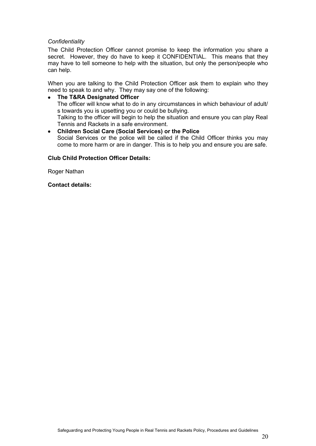#### *Confidentiality*

The Child Protection Officer cannot promise to keep the information you share a secret. However, they do have to keep it CONFIDENTIAL. This means that they may have to tell someone to help with the situation, but only the person/people who can help.

When you are talking to the Child Protection Officer ask them to explain who they need to speak to and why. They may say one of the following:

#### **The T&RA Designated Officer**

The officer will know what to do in any circumstances in which behaviour of adult/ s towards you is upsetting you or could be bullying.

Talking to the officer will begin to help the situation and ensure you can play Real Tennis and Rackets in a safe environment.

#### **Children Social Care (Social Services) or the Police**

Social Services or the police will be called if the Child Officer thinks you may come to more harm or are in danger. This is to help you and ensure you are safe.

#### **Club Child Protection Officer Details:**

Roger Nathan

**Contact details:**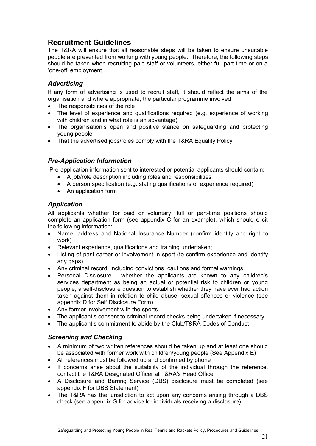# <span id="page-21-0"></span>**Recruitment Guidelines**

The T&RA will ensure that all reasonable steps will be taken to ensure unsuitable people are prevented from working with young people. Therefore, the following steps should be taken when recruiting paid staff or volunteers, either full part-time or on a 'one-off' employment.

# <span id="page-21-1"></span>*Advertising*

If any form of advertising is used to recruit staff, it should reflect the aims of the organisation and where appropriate, the particular programme involved

- The responsibilities of the role
- The level of experience and qualifications required (e.g. experience of working with children and in what role is an advantage)
- The organisation's open and positive stance on safeguarding and protecting young people
- That the advertised jobs/roles comply with the T&RA Equality Policy

# <span id="page-21-2"></span>*Pre-Application Information*

Pre-application information sent to interested or potential applicants should contain:

- A job/role description including roles and responsibilities
- A person specification (e.g. stating qualifications or experience required)
- An application form

# <span id="page-21-3"></span>*Application*

All applicants whether for paid or voluntary, full or part-time positions should complete an application form (see appendix C for an example), which should elicit the following information:

- Name, address and National Insurance Number (confirm identity and right to work)
- Relevant experience, qualifications and training undertaken;
- Listing of past career or involvement in sport (to confirm experience and identify any gaps)
- Any criminal record, including convictions, cautions and formal warnings
- Personal Disclosure whether the applicants are known to any children's services department as being an actual or potential risk to children or young people, a self-disclosure question to establish whether they have ever had action taken against them in relation to child abuse, sexual offences or violence (see appendix D for Self Disclosure Form)
- Any former involvement with the sports
- The applicant's consent to criminal record checks being undertaken if necessary
- The applicant's commitment to abide by the Club/T&RA Codes of Conduct

# <span id="page-21-4"></span>*Screening and Checking*

- A minimum of two written references should be taken up and at least one should be associated with former work with children/young people (See Appendix E)
- All references must be followed up and confirmed by phone
- If concerns arise about the suitability of the individual through the reference, contact the T&RA Designated Officer at T&RA's Head Office
- A Disclosure and Barring Service (DBS) disclosure must be completed (see appendix F for DBS Statement)
- The T&RA has the jurisdiction to act upon any concerns arising through a DBS check (see appendix G for advice for individuals receiving a disclosure).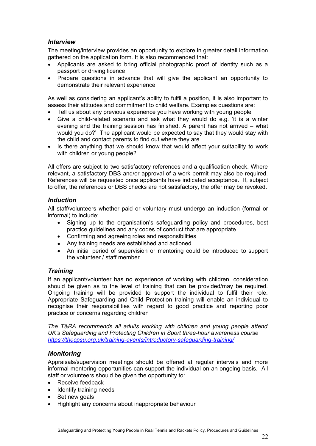# <span id="page-22-0"></span>*Interview*

The meeting/interview provides an opportunity to explore in greater detail information gathered on the application form. It is also recommended that:

- Applicants are asked to bring official photographic proof of identity such as a passport or driving licence
- Prepare questions in advance that will give the applicant an opportunity to demonstrate their relevant experience

As well as considering an applicant's ability to fulfil a position, it is also important to assess their attitudes and commitment to child welfare. Examples questions are:

- Tell us about any previous experience you have working with young people
- Give a child-related scenario and ask what they would do e.g. 'it is a winter evening and the training session has finished. A parent has not arrived – what would you do?' The applicant would be expected to say that they would stay with the child and contact parents to find out where they are
- Is there anything that we should know that would affect your suitability to work with children or young people?

All offers are subject to two satisfactory references and a qualification check. Where relevant, a satisfactory DBS and/or approval of a work permit may also be required. References will be requested once applicants have indicated acceptance. If, subject to offer, the references or DBS checks are not satisfactory, the offer may be revoked.

#### <span id="page-22-1"></span>*Induction*

All staff/volunteers whether paid or voluntary must undergo an induction (formal or informal) to include:

- Signing up to the organisation's safeguarding policy and procedures, best practice guidelines and any codes of conduct that are appropriate
- Confirming and agreeing roles and responsibilities
- Any training needs are established and actioned
- An initial period of supervision or mentoring could be introduced to support the volunteer / staff member

#### <span id="page-22-2"></span>*Training*

If an applicant/volunteer has no experience of working with children, consideration should be given as to the level of training that can be provided/may be required. Ongoing training will be provided to support the individual to fulfil their role. Appropriate Safeguarding and Child Protection training will enable an individual to recognise their responsibilities with regard to good practice and reporting poor practice or concerns regarding children

*The T&RA recommends all adults working with children and young people attend UK's Safeguarding and Protecting Children in Sport three-hour awareness course <https://thecpsu.org.uk/training-events/introductory-safeguarding-training/>*

#### <span id="page-22-3"></span>*Monitoring*

Appraisals/supervision meetings should be offered at regular intervals and more informal mentoring opportunities can support the individual on an ongoing basis. All staff or volunteers should be given the opportunity to:

- Receive feedback
- Identify training needs
- Set new goals
- Highlight any concerns about inappropriate behaviour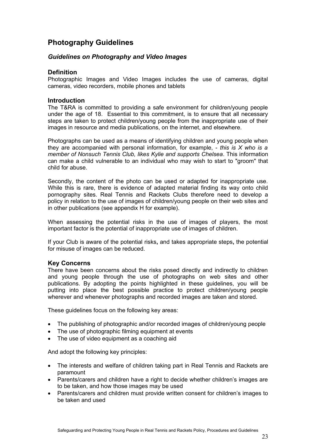# <span id="page-23-0"></span>**Photography Guidelines**

## <span id="page-23-1"></span>*Guidelines on Photography and Video Images*

#### **Definition**

Photographic Images and Video Images includes the use of cameras, digital cameras, video recorders, mobile phones and tablets

# **Introduction**

The T&RA is committed to providing a safe environment for children/young people under the age of 18. Essential to this commitment, is to ensure that all necessary steps are taken to protect children/young people from the inappropriate use of their images in resource and media publications, on the internet, and elsewhere.

Photographs can be used as a means of identifying children and young people when they are accompanied with personal information, for example, - *this is X who is a member of Nonsuch Tennis Club, likes Kylie and supports Chelsea*. This information can make a child vulnerable to an individual who may wish to start to "groom" that child for abuse.

Secondly, the content of the photo can be used or adapted for inappropriate use. While this is rare, there is evidence of adapted material finding its way onto child pornography sites. Real Tennis and Rackets Clubs therefore need to develop a policy in relation to the use of images of children/young people on their web sites and in other publications (see appendix H for example).

When assessing the potential risks in the use of images of players, the most important factor is the potential of inappropriate use of images of children.

If your Club is aware of the potential risks**,** and takes appropriate steps**,** the potential for misuse of images can be reduced.

#### **Key Concerns**

There have been concerns about the risks posed directly and indirectly to children and young people through the use of photographs on web sites and other publications. By adopting the points highlighted in these guidelines, you will be putting into place the best possible practice to protect children/young people wherever and whenever photographs and recorded images are taken and stored.

These guidelines focus on the following key areas:

- The publishing of photographic and/or recorded images of children/young people
- The use of photographic filming equipment at events
- The use of video equipment as a coaching aid

And adopt the following key principles:

- The interests and welfare of children taking part in Real Tennis and Rackets are paramount
- Parents/carers and children have a right to decide whether children's images are to be taken, and how those images may be used
- Parents/carers and children must provide written consent for children's images to be taken and used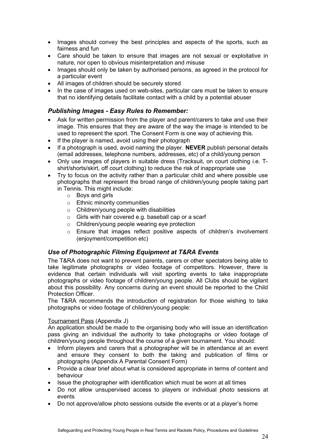- Images should convey the best principles and aspects of the sports, such as fairness and fun
- Care should be taken to ensure that images are not sexual or exploitative in nature, nor open to obvious misinterpretation and misuse
- Images should only be taken by authorised persons, as agreed in the protocol for a particular event
- All images of children should be securely stored
- In the case of images used on web-sites, particular care must be taken to ensure that no identifying details facilitate contact with a child by a potential abuser

# <span id="page-24-0"></span>*Publishing Images - Easy Rules to Remember:*

- Ask for written permission from the player and parent/carers to take and use their image. This ensures that they are aware of the way the image is intended to be used to represent the sport. The Consent Form is one way of achieving this.
- If the player is named, avoid using their photograph
- If a photograph is used, avoid naming the player. **NEVER** publish personal details (email addresses, telephone numbers, addresses, etc) of a child/young person
- Only use images of players in suitable dress (Tracksuit, on court clothing i.e. Tshirt/shorts/skirt, off court clothing) to reduce the risk of inappropriate use
- Try to focus on the activity rather than a particular child and where possible use photographs that represent the broad range of children/young people taking part in Tennis. This might include:
	- o Boys and girls
	- o Ethnic minority communities
	- o Children/young people with disabilities
	- o Girls with hair covered e.g. baseball cap or a scarf
	- o Children/young people wearing eye protection
	- $\circ$  Ensure that images reflect positive aspects of children's involvement (enjoyment/competition etc)

# <span id="page-24-1"></span>*Use of Photographic Filming Equipment at T&RA Events*

The T&RA does not want to prevent parents, carers or other spectators being able to take legitimate photographs or video footage of competitors. However, there is evidence that certain individuals will visit sporting events to take inappropriate photographs or video footage of children/young people. All Clubs should be vigilant about this possibility. Any concerns during an event should be reported to the Child Protection Officer.

The T&RA recommends the introduction of registration for those wishing to take photographs or video footage of children/young people:

#### Tournament Pass (Appendix J)

An application should be made to the organising body who will issue an identification pass giving an individual the authority to take photographs or video footage of children/young people throughout the course of a given tournament. You should:

- Inform players and carers that a photographer will be in attendance at an event and ensure they consent to both the taking and publication of films or photographs (Appendix A Parental Consent Form)
- Provide a clear brief about what is considered appropriate in terms of content and behaviour
- Issue the photographer with identification which must be worn at all times
- Do not allow unsupervised access to players or individual photo sessions at events
- Do not approve/allow photo sessions outside the events or at a player's home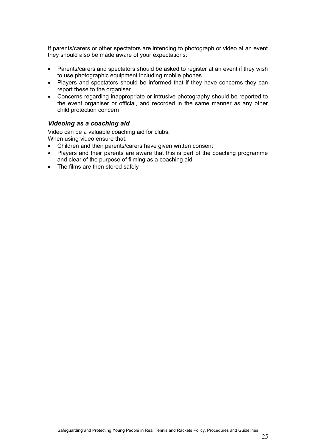If parents/carers or other spectators are intending to photograph or video at an event they should also be made aware of your expectations:

- Parents/carers and spectators should be asked to register at an event if they wish to use photographic equipment including mobile phones
- Players and spectators should be informed that if they have concerns they can report these to the organiser
- Concerns regarding inappropriate or intrusive photography should be reported to the event organiser or official, and recorded in the same manner as any other child protection concern

#### <span id="page-25-0"></span>*Videoing as a coaching aid*

Video can be a valuable coaching aid for clubs. When using video ensure that:

- Children and their parents/carers have given written consent
- Players and their parents are aware that this is part of the coaching programme and clear of the purpose of filming as a coaching aid
- The films are then stored safely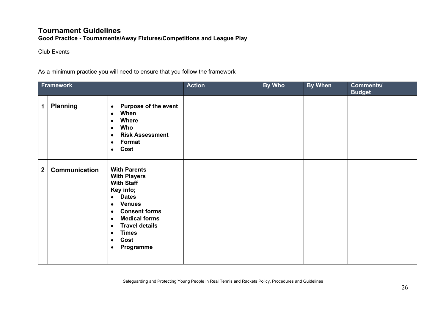# **Tournament Guidelines**

**Good Practice - Tournaments/Away Fixtures/Competitions and League Play**

# Club Events

As a minimum practice you will need to ensure that you follow the framework

<span id="page-26-0"></span>

| <b>Framework</b> |                 |                                                                                                                                                                                                                                                                                                                             | <b>Action</b> | <b>By Who</b> | <b>By When</b> | Comments/<br><b>Budget</b> |
|------------------|-----------------|-----------------------------------------------------------------------------------------------------------------------------------------------------------------------------------------------------------------------------------------------------------------------------------------------------------------------------|---------------|---------------|----------------|----------------------------|
| $\mathbf 1$      | <b>Planning</b> | <b>Purpose of the event</b><br>$\bullet$<br>When<br>$\bullet$<br><b>Where</b><br>$\bullet$<br>Who<br>$\bullet$<br><b>Risk Assessment</b><br>$\bullet$<br>Format<br>$\bullet$<br>Cost<br>$\bullet$                                                                                                                           |               |               |                |                            |
| $\mathbf{2}$     | Communication   | <b>With Parents</b><br><b>With Players</b><br><b>With Staff</b><br>Key info;<br><b>Dates</b><br>$\bullet$<br><b>Venues</b><br>$\bullet$<br><b>Consent forms</b><br>$\bullet$<br><b>Medical forms</b><br>$\bullet$<br><b>Travel details</b><br>$\bullet$<br><b>Times</b><br>$\bullet$<br>Cost<br>$\bullet$<br>Programme<br>٠ |               |               |                |                            |
|                  |                 |                                                                                                                                                                                                                                                                                                                             |               |               |                |                            |

Safeguarding and Protecting Young People in Real Tennis and Rackets Policy, Procedures and Guidelines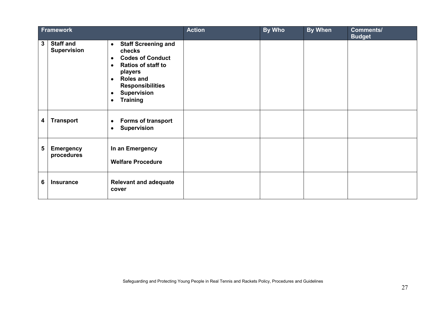| Framework       |                                        |                                                                                                                                                                                                                                                                       | <b>Action</b> | <b>By Who</b> | <b>By When</b> | <b>Comments/</b><br><b>Budget</b> |
|-----------------|----------------------------------------|-----------------------------------------------------------------------------------------------------------------------------------------------------------------------------------------------------------------------------------------------------------------------|---------------|---------------|----------------|-----------------------------------|
| $\mathbf{3}$    | <b>Staff and</b><br><b>Supervision</b> | <b>Staff Screening and</b><br>$\bullet$<br>checks<br><b>Codes of Conduct</b><br>$\bullet$<br><b>Ratios of staff to</b><br>$\bullet$<br>players<br><b>Roles and</b><br>$\bullet$<br><b>Responsibilities</b><br><b>Supervision</b><br>٠<br><b>Training</b><br>$\bullet$ |               |               |                |                                   |
| 4               | <b>Transport</b>                       | <b>Forms of transport</b><br>$\bullet$<br><b>Supervision</b><br>$\bullet$                                                                                                                                                                                             |               |               |                |                                   |
| $5\phantom{.0}$ | <b>Emergency</b><br>procedures         | In an Emergency<br><b>Welfare Procedure</b>                                                                                                                                                                                                                           |               |               |                |                                   |
| 6               | <b>Insurance</b>                       | <b>Relevant and adequate</b><br>cover                                                                                                                                                                                                                                 |               |               |                |                                   |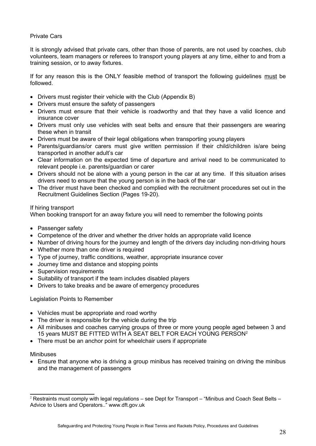#### Private Cars

It is strongly advised that private cars, other than those of parents, are not used by coaches, club volunteers, team managers or referees to transport young players at any time, either to and from a training session, or to away fixtures.

If for any reason this is the ONLY feasible method of transport the following guidelines must be followed.

- Drivers must register their vehicle with the Club (Appendix B)
- Drivers must ensure the safety of passengers
- Drivers must ensure that their vehicle is roadworthy and that they have a valid licence and insurance cover
- Drivers must only use vehicles with seat belts and ensure that their passengers are wearing these when in transit
- Drivers must be aware of their legal obligations when transporting young players
- Parents/guardians/or carers must give written permission if their child/children is/are being transported in another adult's car
- Clear information on the expected time of departure and arrival need to be communicated to relevant people i.e. parents/guardian or carer
- Drivers should not be alone with a young person in the car at any time. If this situation arises drivers need to ensure that the young person is in the back of the car
- The driver must have been checked and complied with the recruitment procedures set out in the Recruitment Guidelines Section (Pages 19-20).

#### If hiring transport

When booking transport for an away fixture you will need to remember the following points

- Passenger safety
- Competence of the driver and whether the driver holds an appropriate valid licence
- Number of driving hours for the journey and length of the drivers day including non-driving hours
- Whether more than one driver is required
- Type of journey, traffic conditions, weather, appropriate insurance cover
- Journey time and distance and stopping points
- Supervision requirements
- Suitability of transport if the team includes disabled players
- Drivers to take breaks and be aware of emergency procedures

Legislation Points to Remember

- Vehicles must be appropriate and road worthy
- The driver is responsible for the vehicle during the trip
- All minibuses and coaches carrying groups of three or more young people aged between 3 and 15 years MUST BE FITTED WITH A SEAT BELT FOR EACH YOUNG PERSON[2](#page-28-0)
- There must be an anchor point for wheelchair users if appropriate

Minibuses

 Ensure that anyone who is driving a group minibus has received training on driving the minibus and the management of passengers

<span id="page-28-0"></span><sup>&</sup>lt;sup>2</sup> Restraints must comply with legal regulations – see Dept for Transport – "Minibus and Coach Seat Belts – Advice to Users and Operators.." www.dft.gov.uk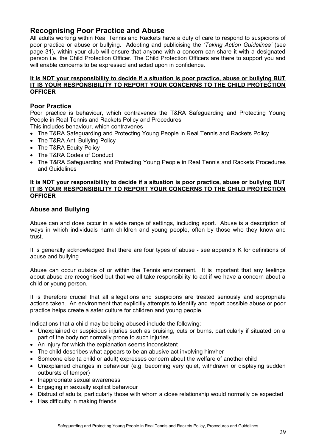# <span id="page-29-0"></span>**Recognising Poor Practice and Abuse**

All adults working within Real Tennis and Rackets have a duty of care to respond to suspicions of poor practice or abuse or bullying. Adopting and publicising the *'Taking Action Guidelines'* (see page 31), within your club will ensure that anyone with a concern can share it with a designated person i.e. the Child Protection Officer. The Child Protection Officers are there to support you and will enable concerns to be expressed and acted upon in confidence.

#### **It is NOT your responsibility to decide if a situation is poor practice, abuse or bullying BUT IT IS YOUR RESPONSIBILITY TO REPORT YOUR CONCERNS TO THE CHILD PROTECTION OFFICER**

## **Poor Practice**

Poor practice is behaviour, which contravenes the T&RA Safeguarding and Protecting Young People in Real Tennis and Rackets Policy and Procedures This includes behaviour, which contravenes

- The T&RA Safeguarding and Protecting Young People in Real Tennis and Rackets Policy
- The T&RA Anti Bullying Policy
- The T&RA Equity Policy
- The T&RA Codes of Conduct
- The T&RA Safeguarding and Protecting Young People in Real Tennis and Rackets Procedures and Guidelines

#### **It is NOT your responsibility to decide if a situation is poor practice, abuse or bullying BUT IT IS YOUR RESPONSIBILITY TO REPORT YOUR CONCERNS TO THE CHILD PROTECTION OFFICER**

#### **Abuse and Bullying**

Abuse can and does occur in a wide range of settings, including sport. Abuse is a description of ways in which individuals harm children and young people, often by those who they know and trust.

It is generally acknowledged that there are four types of abuse - see appendix K for definitions of abuse and bullying

Abuse can occur outside of or within the Tennis environment. It is important that any feelings about abuse are recognised but that we all take responsibility to act if we have a concern about a child or young person.

It is therefore crucial that all allegations and suspicions are treated seriously and appropriate actions taken. An environment that explicitly attempts to identify and report possible abuse or poor practice helps create a safer culture for children and young people*.* 

Indications that a child may be being abused include the following:

- Unexplained or suspicious injuries such as bruising, cuts or burns, particularly if situated on a part of the body not normally prone to such injuries
- An injury for which the explanation seems inconsistent
- The child describes what appears to be an abusive act involving him/her
- Someone else (a child or adult) expresses concern about the welfare of another child
- Unexplained changes in behaviour (e.g. becoming very quiet, withdrawn or displaying sudden outbursts of temper)
- Inappropriate sexual awareness
- Engaging in sexually explicit behaviour
- Distrust of adults, particularly those with whom a close relationship would normally be expected
- Has difficulty in making friends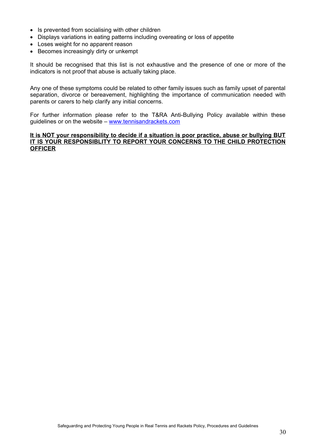- Is prevented from socialising with other children
- Displays variations in eating patterns including overeating or loss of appetite
- Loses weight for no apparent reason
- Becomes increasingly dirty or unkempt

It should be recognised that this list is not exhaustive and the presence of one or more of the indicators is not proof that abuse is actually taking place.

Any one of these symptoms could be related to other family issues such as family upset of parental separation, divorce or bereavement, highlighting the importance of communication needed with parents or carers to help clarify any initial concerns.

For further information please refer to the T&RA Anti-Bullying Policy available within these guidelines or on the website – [www.tennisandrackets.com](http://www.tennisandrackets.com/)

#### **It is NOT your responsibility to decide if a situation is poor practice, abuse or bullying BUT IT IS YOUR RESPONSIBLITY TO REPORT YOUR CONCERNS TO THE CHILD PROTECTION OFFICER**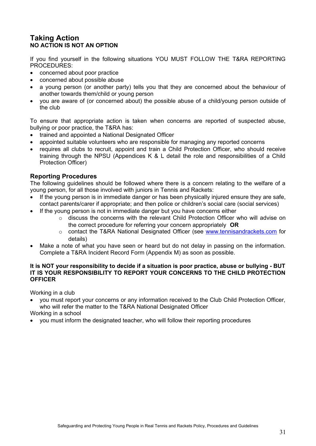# <span id="page-31-0"></span>**Taking Action NO ACTION IS NOT AN OPTION**

If you find yourself in the following situations YOU MUST FOLLOW THE T&RA REPORTING PROCEDURES:

- concerned about poor practice
- concerned about possible abuse
- a young person (or another party) tells you that they are concerned about the behaviour of another towards them/child or young person
- you are aware of (or concerned about) the possible abuse of a child/young person outside of the club

To ensure that appropriate action is taken when concerns are reported of suspected abuse, bullying or poor practice, the T&RA has:

- trained and appointed a National Designated Officer
- appointed suitable volunteers who are responsible for managing any reported concerns
- requires all clubs to recruit, appoint and train a Child Protection Officer, who should receive training through the NPSU (Appendices K & L detail the role and responsibilities of a Child Protection Officer)

# **Reporting Procedures**

The following guidelines should be followed where there is a concern relating to the welfare of a young person, for all those involved with juniors in Tennis and Rackets:

- If the young person is in immediate danger or has been physically injured ensure they are safe, contact parents/carer if appropriate; and then police or children's social care (social services)
- If the young person is not in immediate danger but you have concerns either
	- o discuss the concerns with the relevant Child Protection Officer who will advise on the correct procedure for referring your concern appropriately **OR**
	- o contact the T&RA National Designated Officer (see [www.tennisandrackets.com](http://www.tennisandrackets.com/) for details)
- Make a note of what you have seen or heard but do not delay in passing on the information. Complete a T&RA Incident Record Form (Appendix M) as soon as possible.

#### **It is NOT your responsibility to decide if a situation is poor practice, abuse or bullying - BUT IT IS YOUR RESPONSIBILITY TO REPORT YOUR CONCERNS TO THE CHILD PROTECTION OFFICER**

Working in a club

 you must report your concerns or any information received to the Club Child Protection Officer, who will refer the matter to the T&RA National Designated Officer

Working in a school

you must inform the designated teacher, who will follow their reporting procedures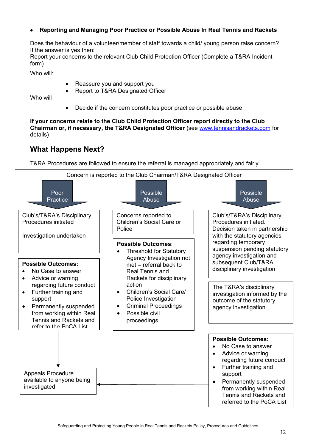## **Reporting and Managing Poor Practice or Possible Abuse In Real Tennis and Rackets**

Does the behaviour of a volunteer/member of staff towards a child/ young person raise concern? If the answer is yes then:

Report your concerns to the relevant Club Child Protection Officer (Complete a T&RA Incident form)

Who will:

- Reassure you and support you
- Report to T&RA Designated Officer

Who will

Decide if the concern constitutes poor practice or possible abuse

**If your concerns relate to the Club Child Protection Officer report directly to the Club Chairman or, if necessary, the T&RA Designated Officer** (see [www.tennisandrackets.com](http://www.tennisandrackets.com/) for details)

# <span id="page-32-0"></span>**What Happens Next?**

T&RA Procedures are followed to ensure the referral is managed appropriately and fairly.

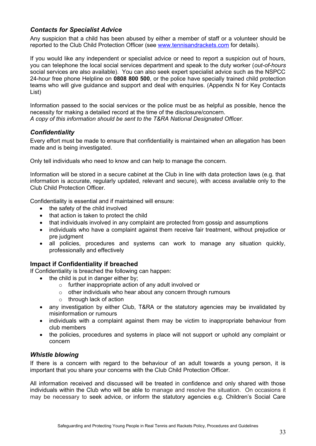# <span id="page-33-0"></span>*Contacts for Specialist Advice*

Any suspicion that a child has been abused by either a member of staff or a volunteer should be reported to the Club Child Protection Officer (see [www.tennisandrackets.com](http://www.tennisandrackets.com/) for details).

If you would like any independent or specialist advice or need to report a suspicion out of hours, you can telephone the local social services department and speak to the duty worker (*out-of-hours* social services are also available). You can also seek expert specialist advice such as the NSPCC 24-hour free phone Helpline on **0808 800 500**, or the police have specially trained child protection teams who will give guidance and support and deal with enquiries. (Appendix N for Key Contacts List)

Information passed to the social services or the police must be as helpful as possible, hence the necessity for making a detailed record at the time of the disclosure/concern. *A copy of this information should be sent to the T&RA National Designated Officer.*

# <span id="page-33-1"></span>*Confidentiality*

Every effort must be made to ensure that confidentiality is maintained when an allegation has been made and is being investigated.

Only tell individuals who need to know and can help to manage the concern.

Information will be stored in a secure cabinet at the Club in line with data protection laws (e.g. that information is accurate, regularly updated, relevant and secure), with access available only to the Club Child Protection Officer.

Confidentiality is essential and if maintained will ensure:

- the safety of the child involved
- that action is taken to protect the child
- that individuals involved in any complaint are protected from gossip and assumptions
- individuals who have a complaint against them receive fair treatment, without prejudice or pre judgment
- all policies, procedures and systems can work to manage any situation quickly, professionally and effectively

# **Impact if Confidentiality if breached**

If Confidentiality is breached the following can happen:

- the child is put in danger either by;
	- o further inappropriate action of any adult involved or
	- o other individuals who hear about any concern through rumours
	- o through lack of action
- any investigation by either Club, T&RA or the statutory agencies may be invalidated by misinformation or rumours
- individuals with a complaint against them may be victim to inappropriate behaviour from club members
- the policies, procedures and systems in place will not support or uphold any complaint or concern

#### <span id="page-33-2"></span>*Whistle blowing*

If there is a concern with regard to the behaviour of an adult towards a young person, it is important that you share your concerns with the Club Child Protection Officer.

All information received and discussed will be treated in confidence and only shared with those individuals within the Club who will be able to manage and resolve the situation. On occasions it may be necessary to seek advice, or inform the statutory agencies e.g. Children's Social Care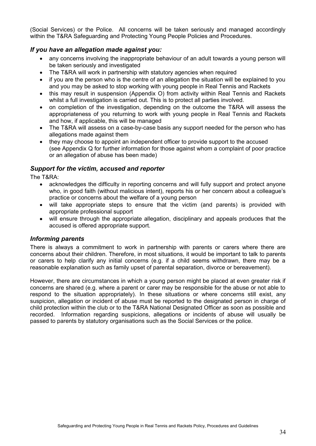(Social Services) or the Police. All concerns will be taken seriously and managed accordingly within the T&RA Safeguarding and Protecting Young People Policies and Procedures.

#### <span id="page-34-0"></span>*If you have an allegation made against you:*

- any concerns involving the inappropriate behaviour of an adult towards a young person will be taken seriously and investigated
- The T&RA will work in partnership with statutory agencies when required
- if you are the person who is the centre of an allegation the situation will be explained to you and you may be asked to stop working with young people in Real Tennis and Rackets
- this may result in suspension (Appendix O) from activity within Real Tennis and Rackets whilst a full investigation is carried out. This is to protect all parties involved.
- on completion of the investigation, depending on the outcome the T&RA will assess the appropriateness of you returning to work with young people in Real Tennis and Rackets and how, if applicable, this will be managed
- The T&RA will assess on a case-by-case basis any support needed for the person who has allegations made against them
- they may choose to appoint an independent officer to provide support to the accused (see Appendix Q for further information for those against whom a complaint of poor practice or an allegation of abuse has been made)

#### <span id="page-34-1"></span>*Support for the victim, accused and reporter*

The T&RA:

- acknowledges the difficulty in reporting concerns and will fully support and protect anyone who, in good faith (without malicious intent), reports his or her concern about a colleague's practice or concerns about the welfare of a young person
- will take appropriate steps to ensure that the victim (and parents) is provided with appropriate professional support
- will ensure through the appropriate allegation, disciplinary and appeals produces that the accused is offered appropriate support.

#### <span id="page-34-2"></span>*Informing parents*

There is always a commitment to work in partnership with parents or carers where there are concerns about their children. Therefore, in most situations, it would be important to talk to parents or carers to help clarify any initial concerns (e.g. if a child seems withdrawn, there may be a reasonable explanation such as family upset of parental separation, divorce or bereavement).

However, there are circumstances in which a young person might be placed at even greater risk if concerns are shared (e.g. where a parent or carer may be responsible for the abuse or not able to respond to the situation appropriately). In these situations or where concerns still exist, any suspicion, allegation or incident of abuse must be reported to the designated person in charge of child protection within the club or to the T&RA National Designated Officer as soon as possible and recorded. Information regarding suspicions, allegations or incidents of abuse will usually be passed to parents by statutory organisations such as the Social Services or the police.